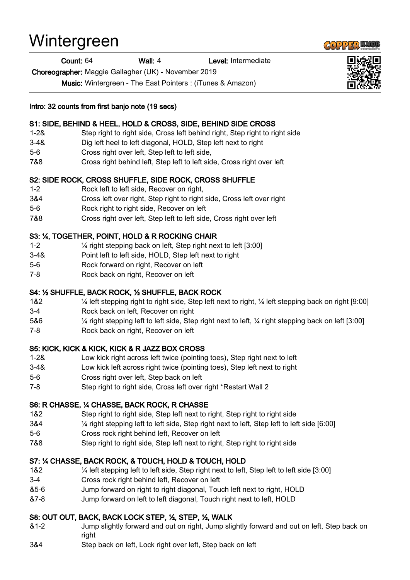# Wintergreen

Count: 64 Wall: 4 Level: Intermediate

Choreographer: Maggie Gallagher (UK) - November 2019

Music: Wintergreen - The East Pointers : (iTunes & Amazon)

#### Intro: 32 counts from first banjo note (19 secs)

## S1: SIDE, BEHIND & HEEL, HOLD & CROSS, SIDE, BEHIND SIDE CROSS

- 1-2& Step right to right side, Cross left behind right, Step right to right side
- 3-4& Dig left heel to left diagonal, HOLD, Step left next to right
- 5-6 Cross right over left, Step left to left side,
- 7&8 Cross right behind left, Step left to left side, Cross right over left

# S2: SIDE ROCK, CROSS SHUFFLE, SIDE ROCK, CROSS SHUFFLE

- 1-2 Rock left to left side, Recover on right,
- 3&4 Cross left over right, Step right to right side, Cross left over right
- 5-6 Rock right to right side, Recover on left
- 7&8 Cross right over left, Step left to left side, Cross right over left

## S3: ¼, TOGETHER, POINT, HOLD & R ROCKING CHAIR

- 1-2 ¼ right stepping back on left, Step right next to left [3:00]
- 3-4& Point left to left side, HOLD, Step left next to right
- 5-6 Rock forward on right, Recover on left
- 7-8 Rock back on right, Recover on left

## S4: ½ SHUFFLE, BACK ROCK, ½ SHUFFLE, BACK ROCK

- 1&2 ¼ left stepping right to right side, Step left next to right, ¼ left stepping back on right [9:00]
- 3-4 Rock back on left, Recover on right
- 5&6 ¼ right stepping left to left side, Step right next to left, ¼ right stepping back on left [3:00]
- 7-8 Rock back on right, Recover on left

## S5: KICK, KICK & KICK, KICK & R JAZZ BOX CROSS

- 1-2& Low kick right across left twice (pointing toes), Step right next to left
- 3-4& Low kick left across right twice (pointing toes), Step left next to right
- 5-6 Cross right over left, Step back on left
- 7-8 Step right to right side, Cross left over right \*Restart Wall 2

## S6: R CHASSE, ¼ CHASSE, BACK ROCK, R CHASSE

- 1&2 Step right to right side, Step left next to right, Step right to right side
- 3&4 ¼ right stepping left to left side, Step right next to left, Step left to left side [6:00]
- 5-6 Cross rock right behind left, Recover on left
- 7&8 Step right to right side, Step left next to right, Step right to right side

## S7: ¼ CHASSE, BACK ROCK, & TOUCH, HOLD & TOUCH, HOLD

- 1&2 ¼ left stepping left to left side, Step right next to left, Step left to left side [3:00]
- 3-4 Cross rock right behind left, Recover on left
- &5-6 Jump forward on right to right diagonal, Touch left next to right, HOLD
- &7-8 Jump forward on left to left diagonal, Touch right next to left, HOLD

## S8: OUT OUT, BACK, BACK LOCK STEP, ½, STEP, ½, WALK

- &1-2 Jump slightly forward and out on right, Jump slightly forward and out on left, Step back on right
- 3&4 Step back on left, Lock right over left, Step back on left